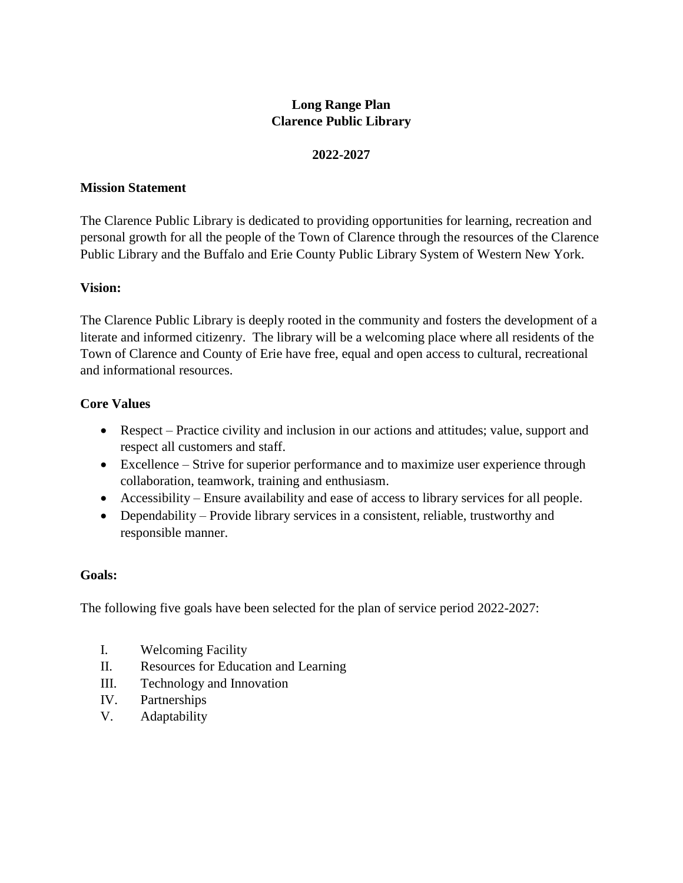## **Long Range Plan Clarence Public Library**

### **2022-2027**

### **Mission Statement**

The Clarence Public Library is dedicated to providing opportunities for learning, recreation and personal growth for all the people of the Town of Clarence through the resources of the Clarence Public Library and the Buffalo and Erie County Public Library System of Western New York.

#### **Vision:**

The Clarence Public Library is deeply rooted in the community and fosters the development of a literate and informed citizenry. The library will be a welcoming place where all residents of the Town of Clarence and County of Erie have free, equal and open access to cultural, recreational and informational resources.

### **Core Values**

- Respect Practice civility and inclusion in our actions and attitudes; value, support and respect all customers and staff.
- Excellence Strive for superior performance and to maximize user experience through collaboration, teamwork, training and enthusiasm.
- Accessibility Ensure availability and ease of access to library services for all people.
- Dependability Provide library services in a consistent, reliable, trustworthy and responsible manner.

### **Goals:**

The following five goals have been selected for the plan of service period 2022-2027:

- I. Welcoming Facility
- II. Resources for Education and Learning
- III. Technology and Innovation
- IV. Partnerships
- V. Adaptability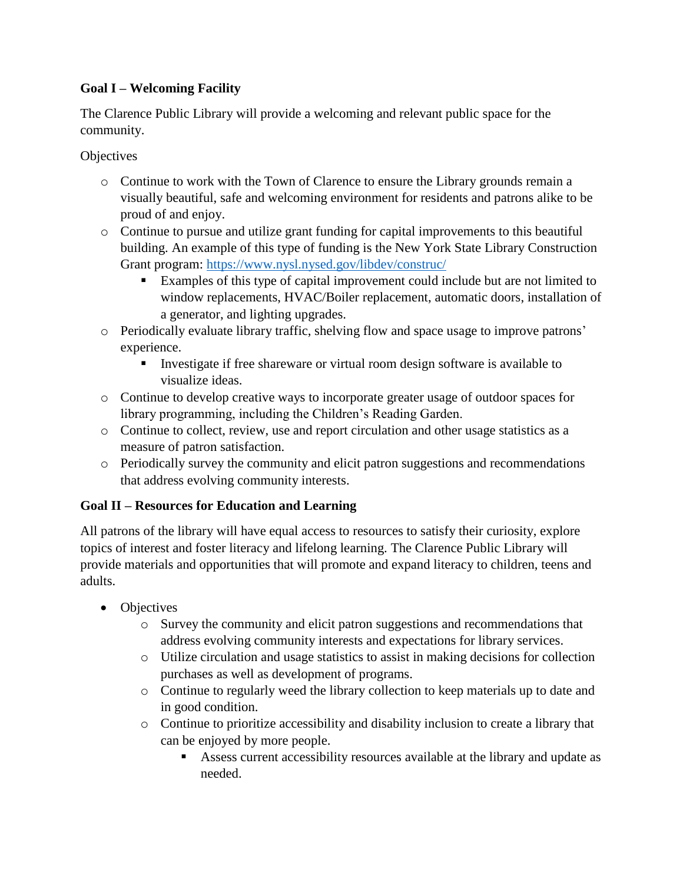## **Goal I – Welcoming Facility**

The Clarence Public Library will provide a welcoming and relevant public space for the community.

**Objectives** 

- o Continue to work with the Town of Clarence to ensure the Library grounds remain a visually beautiful, safe and welcoming environment for residents and patrons alike to be proud of and enjoy.
- o Continue to pursue and utilize grant funding for capital improvements to this beautiful building. An example of this type of funding is the New York State Library Construction Grant program:<https://www.nysl.nysed.gov/libdev/construc/>
	- Examples of this type of capital improvement could include but are not limited to window replacements, HVAC/Boiler replacement, automatic doors, installation of a generator, and lighting upgrades.
- o Periodically evaluate library traffic, shelving flow and space usage to improve patrons' experience.
	- Investigate if free shareware or virtual room design software is available to visualize ideas.
- o Continue to develop creative ways to incorporate greater usage of outdoor spaces for library programming, including the Children's Reading Garden.
- o Continue to collect, review, use and report circulation and other usage statistics as a measure of patron satisfaction.
- o Periodically survey the community and elicit patron suggestions and recommendations that address evolving community interests.

## **Goal II – Resources for Education and Learning**

All patrons of the library will have equal access to resources to satisfy their curiosity, explore topics of interest and foster literacy and lifelong learning. The Clarence Public Library will provide materials and opportunities that will promote and expand literacy to children, teens and adults.

- Objectives
	- o Survey the community and elicit patron suggestions and recommendations that address evolving community interests and expectations for library services.
	- o Utilize circulation and usage statistics to assist in making decisions for collection purchases as well as development of programs.
	- o Continue to regularly weed the library collection to keep materials up to date and in good condition.
	- o Continue to prioritize accessibility and disability inclusion to create a library that can be enjoyed by more people.
		- Assess current accessibility resources available at the library and update as needed.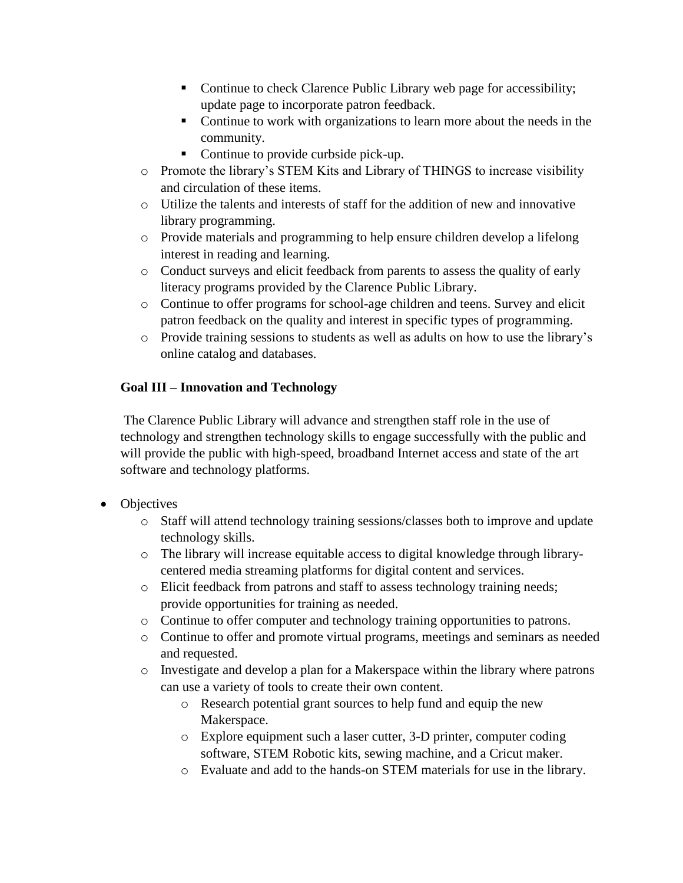- Continue to check Clarence Public Library web page for accessibility; update page to incorporate patron feedback.
- Continue to work with organizations to learn more about the needs in the community.
- Continue to provide curbside pick-up.
- o Promote the library's STEM Kits and Library of THINGS to increase visibility and circulation of these items.
- o Utilize the talents and interests of staff for the addition of new and innovative library programming.
- o Provide materials and programming to help ensure children develop a lifelong interest in reading and learning.
- o Conduct surveys and elicit feedback from parents to assess the quality of early literacy programs provided by the Clarence Public Library.
- o Continue to offer programs for school-age children and teens. Survey and elicit patron feedback on the quality and interest in specific types of programming.
- o Provide training sessions to students as well as adults on how to use the library's online catalog and databases.

# **Goal III – Innovation and Technology**

The Clarence Public Library will advance and strengthen staff role in the use of technology and strengthen technology skills to engage successfully with the public and will provide the public with high-speed, broadband Internet access and state of the art software and technology platforms.

- Objectives
	- o Staff will attend technology training sessions/classes both to improve and update technology skills.
	- o The library will increase equitable access to digital knowledge through librarycentered media streaming platforms for digital content and services.
	- o Elicit feedback from patrons and staff to assess technology training needs; provide opportunities for training as needed.
	- o Continue to offer computer and technology training opportunities to patrons.
	- o Continue to offer and promote virtual programs, meetings and seminars as needed and requested.
	- o Investigate and develop a plan for a Makerspace within the library where patrons can use a variety of tools to create their own content.
		- o Research potential grant sources to help fund and equip the new Makerspace.
		- o Explore equipment such a laser cutter, 3-D printer, computer coding software, STEM Robotic kits, sewing machine, and a Cricut maker.
		- o Evaluate and add to the hands-on STEM materials for use in the library.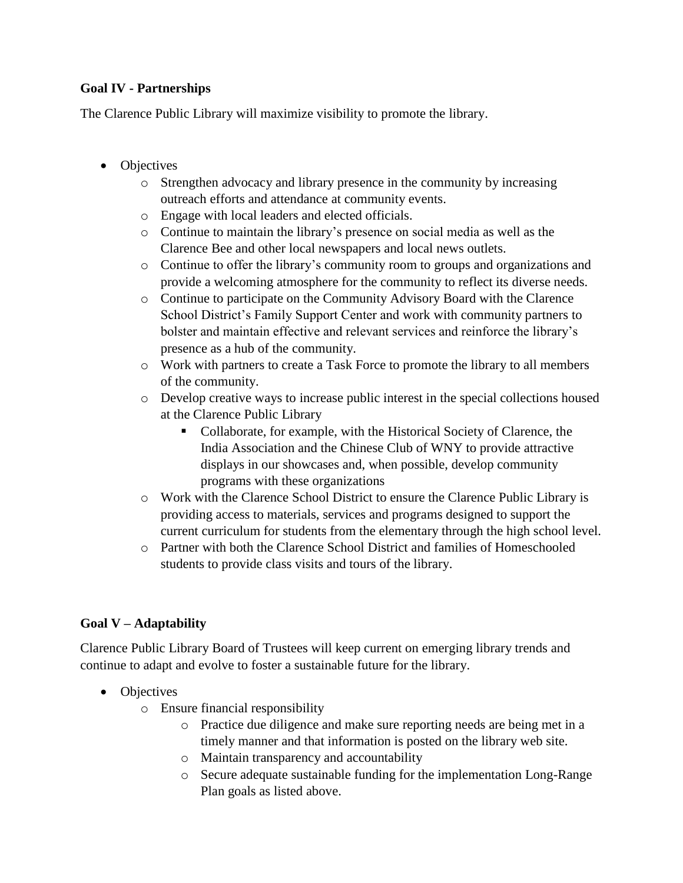### **Goal IV - Partnerships**

The Clarence Public Library will maximize visibility to promote the library.

- Objectives
	- o Strengthen advocacy and library presence in the community by increasing outreach efforts and attendance at community events.
	- o Engage with local leaders and elected officials.
	- o Continue to maintain the library's presence on social media as well as the Clarence Bee and other local newspapers and local news outlets.
	- o Continue to offer the library's community room to groups and organizations and provide a welcoming atmosphere for the community to reflect its diverse needs.
	- o Continue to participate on the Community Advisory Board with the Clarence School District's Family Support Center and work with community partners to bolster and maintain effective and relevant services and reinforce the library's presence as a hub of the community.
	- o Work with partners to create a Task Force to promote the library to all members of the community.
	- o Develop creative ways to increase public interest in the special collections housed at the Clarence Public Library
		- Collaborate, for example, with the Historical Society of Clarence, the India Association and the Chinese Club of WNY to provide attractive displays in our showcases and, when possible, develop community programs with these organizations
	- o Work with the Clarence School District to ensure the Clarence Public Library is providing access to materials, services and programs designed to support the current curriculum for students from the elementary through the high school level.
	- o Partner with both the Clarence School District and families of Homeschooled students to provide class visits and tours of the library.

## **Goal V – Adaptability**

Clarence Public Library Board of Trustees will keep current on emerging library trends and continue to adapt and evolve to foster a sustainable future for the library.

- Objectives
	- o Ensure financial responsibility
		- o Practice due diligence and make sure reporting needs are being met in a timely manner and that information is posted on the library web site.
		- o Maintain transparency and accountability
		- o Secure adequate sustainable funding for the implementation Long-Range Plan goals as listed above.